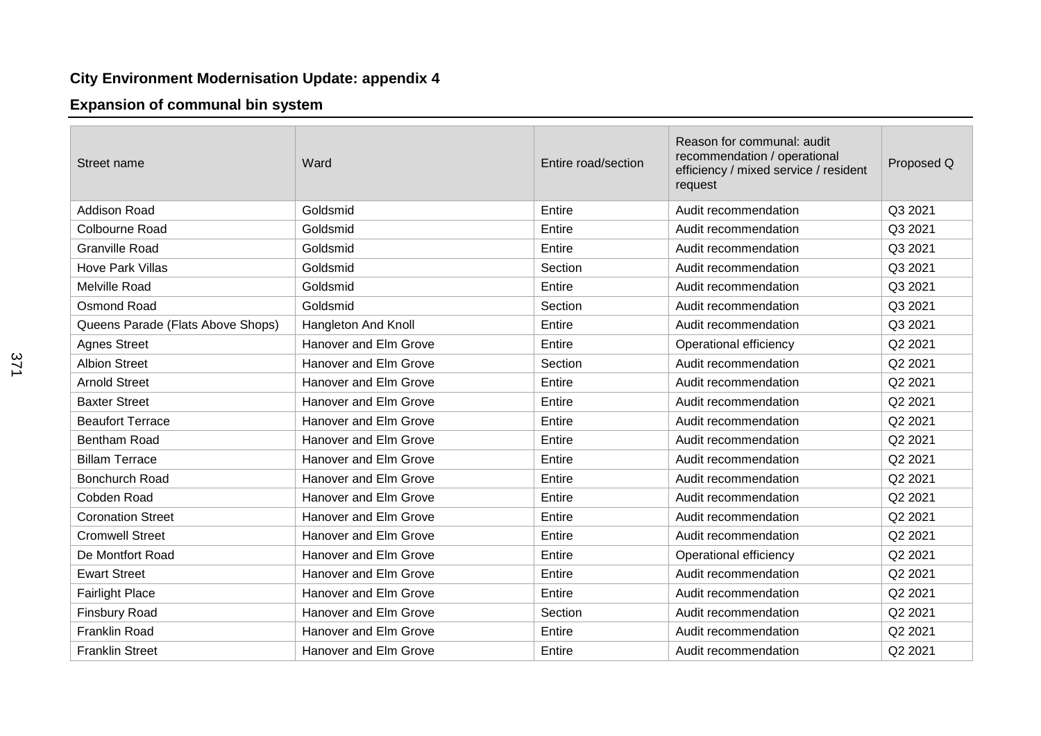## **City Environment Modernisation Update: appendix 4**

## **Expansion of communal bin system**

| Street name                       | Ward                  | Entire road/section | Reason for communal: audit<br>recommendation / operational<br>efficiency / mixed service / resident<br>request | Proposed Q |
|-----------------------------------|-----------------------|---------------------|----------------------------------------------------------------------------------------------------------------|------------|
| <b>Addison Road</b>               | Goldsmid              | Entire              | Audit recommendation                                                                                           | Q3 2021    |
| Colbourne Road                    | Goldsmid              | Entire              | Audit recommendation                                                                                           | Q3 2021    |
| <b>Granville Road</b>             | Goldsmid              | Entire              | Audit recommendation                                                                                           | Q3 2021    |
| <b>Hove Park Villas</b>           | Goldsmid              | Section             | Audit recommendation                                                                                           | Q3 2021    |
| Melville Road                     | Goldsmid              | Entire              | Audit recommendation                                                                                           | Q3 2021    |
| Osmond Road                       | Goldsmid              | Section             | Audit recommendation                                                                                           | Q3 2021    |
| Queens Parade (Flats Above Shops) | Hangleton And Knoll   | Entire              | Audit recommendation                                                                                           | Q3 2021    |
| <b>Agnes Street</b>               | Hanover and Elm Grove | Entire              | Operational efficiency                                                                                         | Q2 2021    |
| <b>Albion Street</b>              | Hanover and Elm Grove | Section             | Audit recommendation                                                                                           | Q2 2021    |
| <b>Arnold Street</b>              | Hanover and Elm Grove | Entire              | Audit recommendation                                                                                           | Q2 2021    |
| <b>Baxter Street</b>              | Hanover and Elm Grove | Entire              | Audit recommendation                                                                                           | Q2 2021    |
| <b>Beaufort Terrace</b>           | Hanover and Elm Grove | Entire              | Audit recommendation                                                                                           | Q2 2021    |
| <b>Bentham Road</b>               | Hanover and Elm Grove | Entire              | Audit recommendation                                                                                           | Q2 2021    |
| <b>Billam Terrace</b>             | Hanover and Elm Grove | Entire              | Audit recommendation                                                                                           | Q2 2021    |
| <b>Bonchurch Road</b>             | Hanover and Elm Grove | Entire              | Audit recommendation                                                                                           | Q2 2021    |
| Cobden Road                       | Hanover and Elm Grove | Entire              | Audit recommendation                                                                                           | Q2 2021    |
| <b>Coronation Street</b>          | Hanover and Elm Grove | Entire              | Audit recommendation                                                                                           | Q2 2021    |
| <b>Cromwell Street</b>            | Hanover and Elm Grove | Entire              | Audit recommendation                                                                                           | Q2 2021    |
| De Montfort Road                  | Hanover and Elm Grove | Entire              | Operational efficiency                                                                                         | Q2 2021    |
| <b>Ewart Street</b>               | Hanover and Elm Grove | Entire              | Audit recommendation                                                                                           | Q2 2021    |
| <b>Fairlight Place</b>            | Hanover and Elm Grove | Entire              | Audit recommendation                                                                                           | Q2 2021    |
| <b>Finsbury Road</b>              | Hanover and Elm Grove | Section             | Audit recommendation                                                                                           | Q2 2021    |
| <b>Franklin Road</b>              | Hanover and Elm Grove | Entire              | Audit recommendation                                                                                           | Q2 2021    |
| <b>Franklin Street</b>            | Hanover and Elm Grove | Entire              | Audit recommendation                                                                                           | Q2 2021    |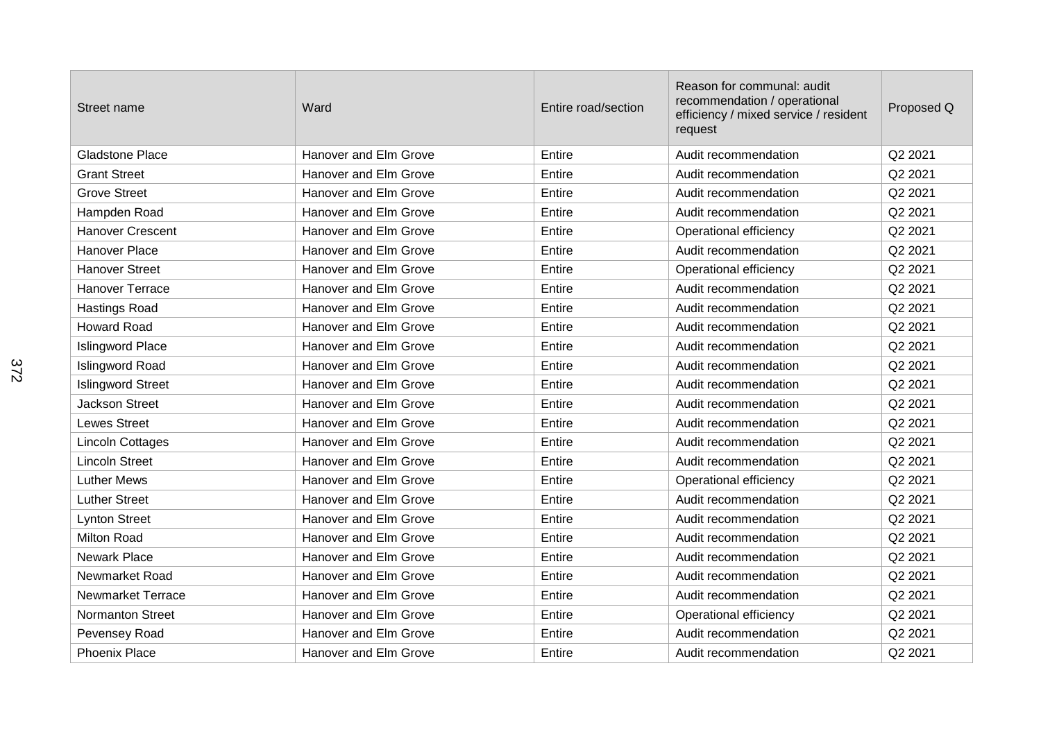| Street name              | Ward                  | Entire road/section | Reason for communal: audit<br>recommendation / operational<br>efficiency / mixed service / resident<br>request | Proposed Q |
|--------------------------|-----------------------|---------------------|----------------------------------------------------------------------------------------------------------------|------------|
| <b>Gladstone Place</b>   | Hanover and Elm Grove | Entire              | Audit recommendation                                                                                           | Q2 2021    |
| <b>Grant Street</b>      | Hanover and Elm Grove | Entire              | Audit recommendation                                                                                           | Q2 2021    |
| <b>Grove Street</b>      | Hanover and Elm Grove | Entire              | Audit recommendation                                                                                           | Q2 2021    |
| Hampden Road             | Hanover and Elm Grove | Entire              | Audit recommendation                                                                                           | Q2 2021    |
| <b>Hanover Crescent</b>  | Hanover and Elm Grove | Entire              | Operational efficiency                                                                                         | Q2 2021    |
| <b>Hanover Place</b>     | Hanover and Elm Grove | Entire              | Audit recommendation                                                                                           | Q2 2021    |
| <b>Hanover Street</b>    | Hanover and Elm Grove | Entire              | Operational efficiency                                                                                         | Q2 2021    |
| <b>Hanover Terrace</b>   | Hanover and Elm Grove | Entire              | Audit recommendation                                                                                           | Q2 2021    |
| <b>Hastings Road</b>     | Hanover and Elm Grove | Entire              | Audit recommendation                                                                                           | Q2 2021    |
| <b>Howard Road</b>       | Hanover and Elm Grove | Entire              | Audit recommendation                                                                                           | Q2 2021    |
| <b>Islingword Place</b>  | Hanover and Elm Grove | Entire              | Audit recommendation                                                                                           | Q2 2021    |
| Islingword Road          | Hanover and Elm Grove | Entire              | Audit recommendation                                                                                           | Q2 2021    |
| <b>Islingword Street</b> | Hanover and Elm Grove | Entire              | Audit recommendation                                                                                           | Q2 2021    |
| <b>Jackson Street</b>    | Hanover and Elm Grove | Entire              | Audit recommendation                                                                                           | Q2 2021    |
| <b>Lewes Street</b>      | Hanover and Elm Grove | Entire              | Audit recommendation                                                                                           | Q2 2021    |
| Lincoln Cottages         | Hanover and Elm Grove | Entire              | Audit recommendation                                                                                           | Q2 2021    |
| <b>Lincoln Street</b>    | Hanover and Elm Grove | Entire              | Audit recommendation                                                                                           | Q2 2021    |
| <b>Luther Mews</b>       | Hanover and Elm Grove | Entire              | Operational efficiency                                                                                         | Q2 2021    |
| <b>Luther Street</b>     | Hanover and Elm Grove | Entire              | Audit recommendation                                                                                           | Q2 2021    |
| <b>Lynton Street</b>     | Hanover and Elm Grove | Entire              | Audit recommendation                                                                                           | Q2 2021    |
| Milton Road              | Hanover and Elm Grove | Entire              | Audit recommendation                                                                                           | Q2 2021    |
| Newark Place             | Hanover and Elm Grove | Entire              | Audit recommendation                                                                                           | Q2 2021    |
| Newmarket Road           | Hanover and Elm Grove | Entire              | Audit recommendation                                                                                           | Q2 2021    |
| <b>Newmarket Terrace</b> | Hanover and Elm Grove | Entire              | Audit recommendation                                                                                           | Q2 2021    |
| <b>Normanton Street</b>  | Hanover and Elm Grove | Entire              | Operational efficiency                                                                                         | Q2 2021    |
| Pevensey Road            | Hanover and Elm Grove | Entire              | Audit recommendation                                                                                           | Q2 2021    |
| <b>Phoenix Place</b>     | Hanover and Elm Grove | Entire              | Audit recommendation                                                                                           | Q2 2021    |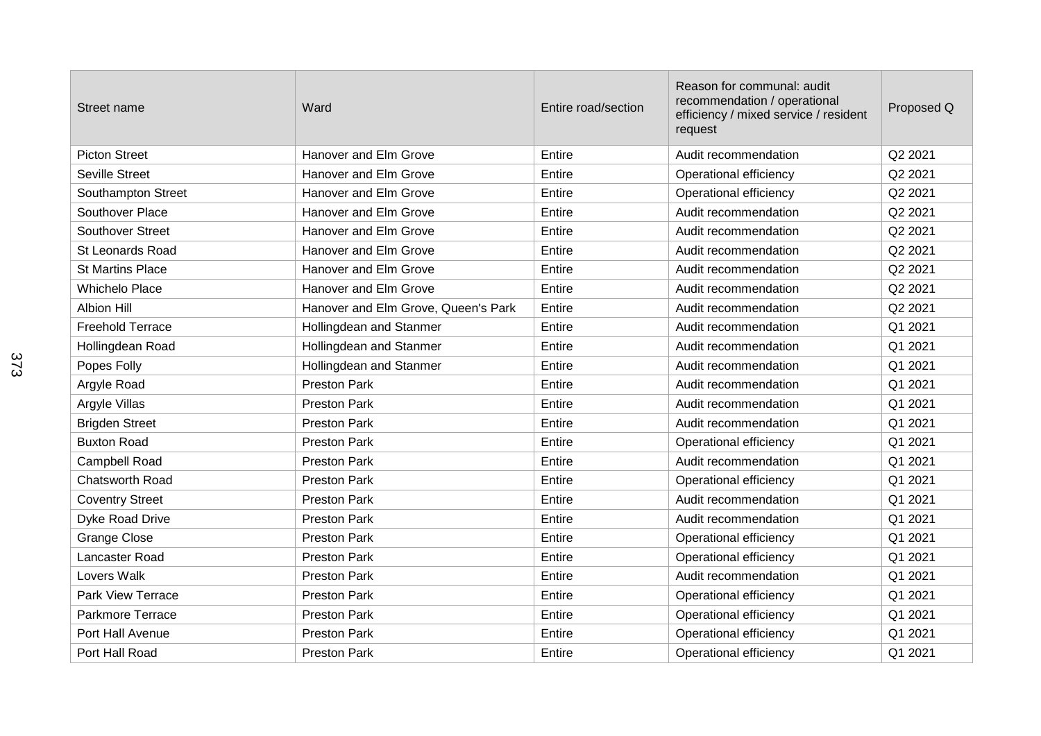| Street name              | Ward                                | Entire road/section | Reason for communal: audit<br>recommendation / operational<br>efficiency / mixed service / resident<br>request | Proposed Q |
|--------------------------|-------------------------------------|---------------------|----------------------------------------------------------------------------------------------------------------|------------|
| <b>Picton Street</b>     | Hanover and Elm Grove               | Entire              | Audit recommendation                                                                                           | Q2 2021    |
| Seville Street           | Hanover and Elm Grove               | Entire              | Operational efficiency                                                                                         | Q2 2021    |
| Southampton Street       | Hanover and Elm Grove               | Entire              | Operational efficiency                                                                                         | Q2 2021    |
| Southover Place          | Hanover and Elm Grove               | Entire              | Audit recommendation                                                                                           | Q2 2021    |
| <b>Southover Street</b>  | Hanover and Elm Grove               | Entire              | Audit recommendation                                                                                           | Q2 2021    |
| <b>St Leonards Road</b>  | Hanover and Elm Grove               | Entire              | Audit recommendation                                                                                           | Q2 2021    |
| <b>St Martins Place</b>  | Hanover and Elm Grove               | Entire              | Audit recommendation                                                                                           | Q2 2021    |
| <b>Whichelo Place</b>    | Hanover and Elm Grove               | Entire              | Audit recommendation                                                                                           | Q2 2021    |
| <b>Albion Hill</b>       | Hanover and Elm Grove, Queen's Park | Entire              | Audit recommendation                                                                                           | Q2 2021    |
| <b>Freehold Terrace</b>  | Hollingdean and Stanmer             | Entire              | Audit recommendation                                                                                           | Q1 2021    |
| Hollingdean Road         | Hollingdean and Stanmer             | Entire              | Audit recommendation                                                                                           | Q1 2021    |
| Popes Folly              | Hollingdean and Stanmer             | Entire              | Audit recommendation                                                                                           | Q1 2021    |
| Argyle Road              | <b>Preston Park</b>                 | Entire              | Audit recommendation                                                                                           | Q1 2021    |
| Argyle Villas            | <b>Preston Park</b>                 | Entire              | Audit recommendation                                                                                           | Q1 2021    |
| <b>Brigden Street</b>    | <b>Preston Park</b>                 | Entire              | Audit recommendation                                                                                           | Q1 2021    |
| <b>Buxton Road</b>       | <b>Preston Park</b>                 | Entire              | Operational efficiency                                                                                         | Q1 2021    |
| Campbell Road            | <b>Preston Park</b>                 | Entire              | Audit recommendation                                                                                           | Q1 2021    |
| Chatsworth Road          | <b>Preston Park</b>                 | Entire              | Operational efficiency                                                                                         | Q1 2021    |
| <b>Coventry Street</b>   | <b>Preston Park</b>                 | Entire              | Audit recommendation                                                                                           | Q1 2021    |
| Dyke Road Drive          | <b>Preston Park</b>                 | Entire              | Audit recommendation                                                                                           | Q1 2021    |
| <b>Grange Close</b>      | <b>Preston Park</b>                 | Entire              | Operational efficiency                                                                                         | Q1 2021    |
| Lancaster Road           | <b>Preston Park</b>                 | Entire              | Operational efficiency                                                                                         | Q1 2021    |
| Lovers Walk              | <b>Preston Park</b>                 | Entire              | Audit recommendation                                                                                           | Q1 2021    |
| <b>Park View Terrace</b> | <b>Preston Park</b>                 | Entire              | Operational efficiency                                                                                         | Q1 2021    |
| Parkmore Terrace         | <b>Preston Park</b>                 | Entire              | Operational efficiency                                                                                         | Q1 2021    |
| Port Hall Avenue         | <b>Preston Park</b>                 | Entire              | Operational efficiency                                                                                         | Q1 2021    |
| Port Hall Road           | <b>Preston Park</b>                 | Entire              | Operational efficiency                                                                                         | Q1 2021    |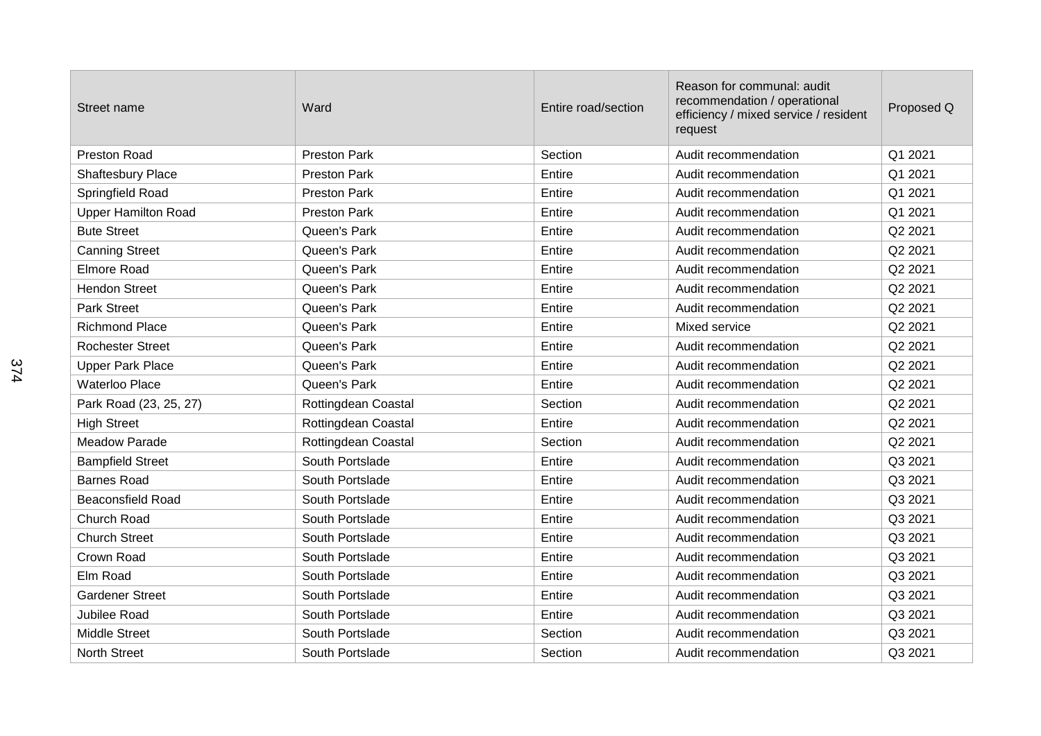| Street name                | Ward                | Entire road/section | Reason for communal: audit<br>recommendation / operational<br>efficiency / mixed service / resident<br>request | Proposed Q |
|----------------------------|---------------------|---------------------|----------------------------------------------------------------------------------------------------------------|------------|
| Preston Road               | <b>Preston Park</b> | Section             | Audit recommendation                                                                                           | Q1 2021    |
| <b>Shaftesbury Place</b>   | <b>Preston Park</b> | Entire              | Audit recommendation                                                                                           | Q1 2021    |
| Springfield Road           | <b>Preston Park</b> | Entire              | Audit recommendation                                                                                           | Q1 2021    |
| <b>Upper Hamilton Road</b> | <b>Preston Park</b> | Entire              | Audit recommendation                                                                                           | Q1 2021    |
| <b>Bute Street</b>         | Queen's Park        | Entire              | Audit recommendation                                                                                           | Q2 2021    |
| <b>Canning Street</b>      | Queen's Park        | Entire              | Audit recommendation                                                                                           | Q2 2021    |
| <b>Elmore Road</b>         | Queen's Park        | Entire              | Audit recommendation                                                                                           | Q2 2021    |
| <b>Hendon Street</b>       | Queen's Park        | Entire              | Audit recommendation                                                                                           | Q2 2021    |
| Park Street                | Queen's Park        | Entire              | Audit recommendation                                                                                           | Q2 2021    |
| <b>Richmond Place</b>      | Queen's Park        | Entire              | Mixed service                                                                                                  | Q2 2021    |
| <b>Rochester Street</b>    | Queen's Park        | Entire              | Audit recommendation                                                                                           | Q2 2021    |
| <b>Upper Park Place</b>    | Queen's Park        | Entire              | Audit recommendation                                                                                           | Q2 2021    |
| <b>Waterloo Place</b>      | Queen's Park        | Entire              | Audit recommendation                                                                                           | Q2 2021    |
| Park Road (23, 25, 27)     | Rottingdean Coastal | Section             | Audit recommendation                                                                                           | Q2 2021    |
| <b>High Street</b>         | Rottingdean Coastal | Entire              | Audit recommendation                                                                                           | Q2 2021    |
| <b>Meadow Parade</b>       | Rottingdean Coastal | Section             | Audit recommendation                                                                                           | Q2 2021    |
| <b>Bampfield Street</b>    | South Portslade     | Entire              | Audit recommendation                                                                                           | Q3 2021    |
| <b>Barnes Road</b>         | South Portslade     | Entire              | Audit recommendation                                                                                           | Q3 2021    |
| <b>Beaconsfield Road</b>   | South Portslade     | Entire              | Audit recommendation                                                                                           | Q3 2021    |
| <b>Church Road</b>         | South Portslade     | Entire              | Audit recommendation                                                                                           | Q3 2021    |
| <b>Church Street</b>       | South Portslade     | Entire              | Audit recommendation                                                                                           | Q3 2021    |
| Crown Road                 | South Portslade     | Entire              | Audit recommendation                                                                                           | Q3 2021    |
| Elm Road                   | South Portslade     | Entire              | Audit recommendation                                                                                           | Q3 2021    |
| <b>Gardener Street</b>     | South Portslade     | Entire              | Audit recommendation                                                                                           | Q3 2021    |
| <b>Jubilee Road</b>        | South Portslade     | Entire              | Audit recommendation                                                                                           | Q3 2021    |
| <b>Middle Street</b>       | South Portslade     | Section             | Audit recommendation                                                                                           | Q3 2021    |
| <b>North Street</b>        | South Portslade     | Section             | Audit recommendation                                                                                           | Q3 2021    |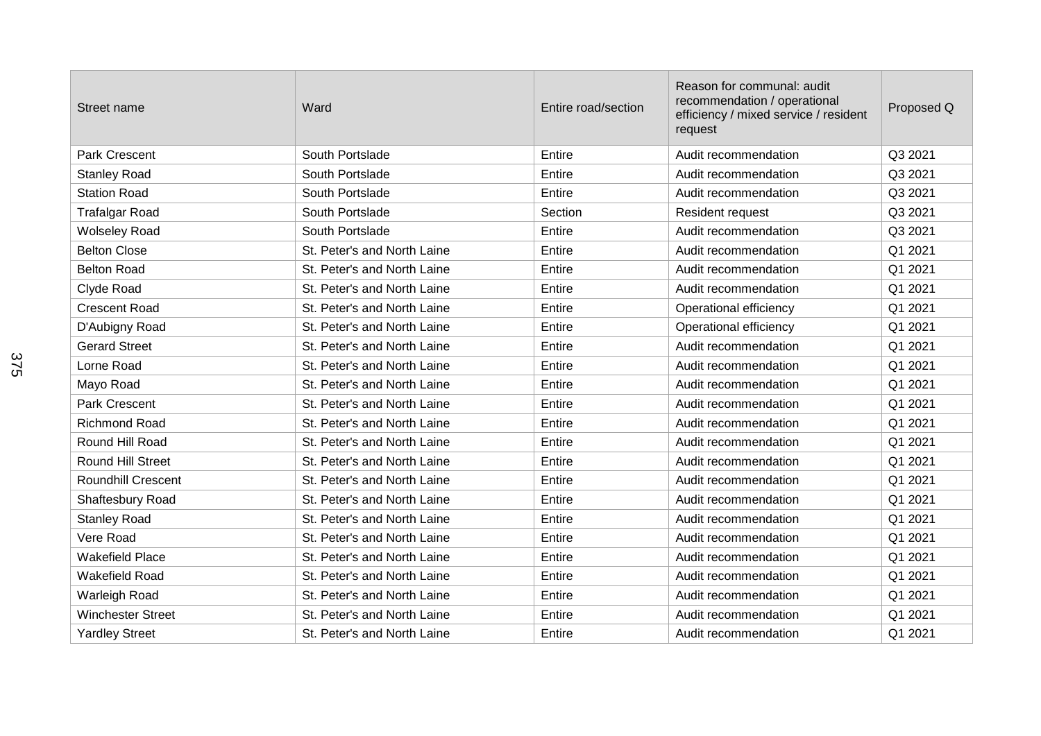| Street name               | Ward                        | Entire road/section | Reason for communal: audit<br>recommendation / operational<br>efficiency / mixed service / resident<br>request | Proposed Q |
|---------------------------|-----------------------------|---------------------|----------------------------------------------------------------------------------------------------------------|------------|
| Park Crescent             | South Portslade             | Entire              | Audit recommendation                                                                                           | Q3 2021    |
| <b>Stanley Road</b>       | South Portslade             | Entire              | Audit recommendation                                                                                           | Q3 2021    |
| <b>Station Road</b>       | South Portslade             | Entire              | Audit recommendation                                                                                           | Q3 2021    |
| <b>Trafalgar Road</b>     | South Portslade             | Section             | Resident request                                                                                               | Q3 2021    |
| <b>Wolseley Road</b>      | South Portslade             | Entire              | Audit recommendation                                                                                           | Q3 2021    |
| <b>Belton Close</b>       | St. Peter's and North Laine | Entire              | Audit recommendation                                                                                           | Q1 2021    |
| <b>Belton Road</b>        | St. Peter's and North Laine | Entire              | Audit recommendation                                                                                           | Q1 2021    |
| Clyde Road                | St. Peter's and North Laine | Entire              | Audit recommendation                                                                                           | Q1 2021    |
| <b>Crescent Road</b>      | St. Peter's and North Laine | Entire              | Operational efficiency                                                                                         | Q1 2021    |
| D'Aubigny Road            | St. Peter's and North Laine | Entire              | Operational efficiency                                                                                         | Q1 2021    |
| <b>Gerard Street</b>      | St. Peter's and North Laine | Entire              | Audit recommendation                                                                                           | Q1 2021    |
| Lorne Road                | St. Peter's and North Laine | Entire              | Audit recommendation                                                                                           | Q1 2021    |
| Mayo Road                 | St. Peter's and North Laine | Entire              | Audit recommendation                                                                                           | Q1 2021    |
| Park Crescent             | St. Peter's and North Laine | Entire              | Audit recommendation                                                                                           | Q1 2021    |
| <b>Richmond Road</b>      | St. Peter's and North Laine | Entire              | Audit recommendation                                                                                           | Q1 2021    |
| Round Hill Road           | St. Peter's and North Laine | Entire              | Audit recommendation                                                                                           | Q1 2021    |
| Round Hill Street         | St. Peter's and North Laine | Entire              | Audit recommendation                                                                                           | Q1 2021    |
| <b>Roundhill Crescent</b> | St. Peter's and North Laine | Entire              | Audit recommendation                                                                                           | Q1 2021    |
| Shaftesbury Road          | St. Peter's and North Laine | Entire              | Audit recommendation                                                                                           | Q1 2021    |
| <b>Stanley Road</b>       | St. Peter's and North Laine | Entire              | Audit recommendation                                                                                           | Q1 2021    |
| Vere Road                 | St. Peter's and North Laine | Entire              | Audit recommendation                                                                                           | Q1 2021    |
| <b>Wakefield Place</b>    | St. Peter's and North Laine | Entire              | Audit recommendation                                                                                           | Q1 2021    |
| <b>Wakefield Road</b>     | St. Peter's and North Laine | Entire              | Audit recommendation                                                                                           | Q1 2021    |
| Warleigh Road             | St. Peter's and North Laine | Entire              | Audit recommendation                                                                                           | Q1 2021    |
| <b>Winchester Street</b>  | St. Peter's and North Laine | Entire              | Audit recommendation                                                                                           | Q1 2021    |
| <b>Yardley Street</b>     | St. Peter's and North Laine | Entire              | Audit recommendation                                                                                           | Q1 2021    |